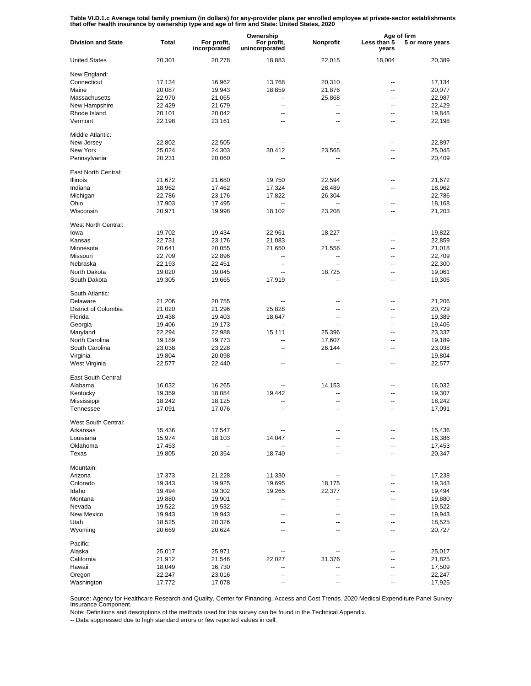Table VI.D.1.c Average total family premium (in dollars) for any-provider plans per enrolled employee at private-sector establishments<br>that offer health insurance by ownership type and age of firm and State: United States,

| Ownership                                                                                                                               | Age of firm     |  |
|-----------------------------------------------------------------------------------------------------------------------------------------|-----------------|--|
| <b>Division and State</b><br>Total<br>For profit,<br>Nonprofit<br>For profit,<br>Less than 5<br>incorporated<br>unincorporated<br>years | 5 or more years |  |
| <b>United States</b><br>18,004<br>20,301<br>20,278<br>18,883<br>22,015                                                                  | 20,389          |  |
| New England:                                                                                                                            |                 |  |
| Connecticut<br>17,134<br>16,962<br>13,768<br>20,310                                                                                     | 17,134<br>--    |  |
| 20,087<br>19,943<br>18,859<br>21,876<br>Maine                                                                                           | 20,077<br>--    |  |
| Massachusetts<br>22,970<br>21,065<br>25,868<br>--                                                                                       | 22,987<br>۵.    |  |
| New Hampshire<br>22,429<br>21,679<br>--<br>--                                                                                           | 22,429<br>--    |  |
| Rhode Island<br>--<br>--                                                                                                                | ۵.              |  |
| 20,101<br>20,042                                                                                                                        | 19,845          |  |
| Vermont<br>22,198<br>23,161<br>--                                                                                                       | 22,198<br>--    |  |
| Middle Atlantic:                                                                                                                        |                 |  |
| New Jersey<br>22,802<br>22,505                                                                                                          | 22,897<br>--    |  |
| New York<br>25,024<br>24,303<br>30,412<br>23,565                                                                                        | 25,045<br>--    |  |
| Pennsylvania<br>20,231<br>20,060<br>--                                                                                                  | 20,409<br>--    |  |
| East North Central:                                                                                                                     |                 |  |
|                                                                                                                                         |                 |  |
| <b>Illinois</b><br>21,672<br>19,750<br>22,594<br>21,680                                                                                 | 21,672<br>--    |  |
| 18,962<br>17,324<br>Indiana<br>17,462<br>28,489                                                                                         | 18,962<br>--    |  |
| Michigan<br>17,822<br>22,786<br>23,176<br>26,304                                                                                        | 22,786<br>٠.    |  |
| Ohio<br>17,903<br>17,495<br>$\ddotsc$                                                                                                   | 18,168<br>--    |  |
| Wisconsin<br>18,102<br>20,971<br>19,998<br>23,208                                                                                       | 21,203<br>٠.    |  |
| West North Central:                                                                                                                     |                 |  |
| 19,702<br>19,434<br>22,961<br>lowa                                                                                                      | 19,822<br>--    |  |
| 18,227                                                                                                                                  |                 |  |
| 22,731<br>Kansas<br>23,176<br>21,083<br>$\overline{\phantom{a}}$                                                                        | 22,859<br>--    |  |
| 20,641<br>20,055<br>Minnesota<br>21,650<br>21,556                                                                                       | 21,018<br>۵.    |  |
| 22,709<br>22,896<br>Missouri<br>$\overline{a}$                                                                                          | 22,709<br>--    |  |
| Nebraska<br>22,193<br>22,451<br>--<br>$\overline{a}$                                                                                    | 22,300<br>۵.    |  |
| North Dakota<br>19,020<br>18,725<br>19,045<br>--                                                                                        | 19,061<br>--    |  |
| South Dakota<br>17,919<br>19,305<br>19,665                                                                                              | 19,306<br>۵.    |  |
| South Atlantic:                                                                                                                         |                 |  |
| Delaware<br>21,206<br>20,755<br>--<br>--                                                                                                | 21,206<br>--    |  |
|                                                                                                                                         |                 |  |
| District of Columbia<br>21,296<br>25,828<br>21,020<br>--                                                                                | 20,729<br>--    |  |
| Florida<br>19,403<br>19,438<br>18,647<br>--                                                                                             | 19,389<br>--    |  |
| Georgia<br>19,406<br>19,173<br>$\overline{\phantom{a}}$<br>--                                                                           | 19,406<br>--    |  |
| Maryland<br>15,111<br>22,294<br>22,988<br>25,396                                                                                        | 23,337<br>--    |  |
| North Carolina<br>17,607<br>19,189<br>19,773<br>--                                                                                      | 19,189<br>--    |  |
| South Carolina<br>23,228<br>23,038<br>26,144<br>$\overline{\phantom{a}}$                                                                | 23,038<br>--    |  |
| Virginia<br>20,098<br>19,804<br>$\overline{\phantom{a}}$<br>$\overline{\phantom{a}}$                                                    | 19,804<br>--    |  |
| West Virginia<br>22,577<br>22,440<br>$\overline{\phantom{a}}$<br>--                                                                     | 22,577<br>--    |  |
| East South Central:                                                                                                                     |                 |  |
|                                                                                                                                         |                 |  |
| Alabama<br>16,032<br>16,265<br>14,153                                                                                                   | 16,032<br>--    |  |
| 18,084<br>Kentucky<br>19,359<br>19,442<br>$\overline{a}$                                                                                | 19,307<br>--    |  |
| Mississippi<br>18,242<br>18,125                                                                                                         | 18,242<br>--    |  |
| Tennessee<br>17,091<br>17,076<br>$\overline{a}$<br>$\overline{a}$                                                                       | 17,091<br>۵.    |  |
| West South Central:                                                                                                                     |                 |  |
| 15,436<br>17,547<br>Arkansas                                                                                                            | 15,436          |  |
| Louisiana<br>15,974<br>18,103<br>14,047                                                                                                 | 16,386<br>--    |  |
| Oklahoma<br>17,453<br>--                                                                                                                | 17,453          |  |
| Texas<br>19,805<br>20,354<br>18,740                                                                                                     | 20,347          |  |
|                                                                                                                                         |                 |  |
| Mountain:                                                                                                                               |                 |  |
| Arizona<br>17,373<br>11,330<br>21,228                                                                                                   | 17,238<br>--    |  |
| Colorado<br>19,343<br>19,925<br>19,695<br>18,175                                                                                        | 19,343<br>--    |  |
| Idaho<br>19,302<br>19,265<br>22,377<br>19,494                                                                                           | 19,494<br>--    |  |
| Montana<br>19,901<br>19,880<br>--                                                                                                       |                 |  |
| Nevada<br>--<br>--                                                                                                                      | 19,880<br>--    |  |
|                                                                                                                                         | 19,522<br>--    |  |
| 19,522<br>19,532<br>--                                                                                                                  | --              |  |
| New Mexico<br>19,943<br>19,943<br>--                                                                                                    | 19,943<br>--    |  |
| Utah<br>20,326<br>18,525<br>--                                                                                                          | 18,525          |  |
| Wyoming<br>20,624<br>20,669<br>--                                                                                                       | 20,727<br>--    |  |
| Pacific:                                                                                                                                |                 |  |
| Alaska<br>25,017<br>25,971                                                                                                              | 25,017          |  |
| California<br>31,376<br>21,912<br>21,546<br>22,027                                                                                      | 21,825          |  |
| Hawaii<br>18,049<br>16,730                                                                                                              | 17,509<br>--    |  |
| Oregon<br>22,247<br>23,016                                                                                                              | 22,247<br>--    |  |

Source: Agency for Healthcare Research and Quality, Center for Financing, Access and Cost Trends. 2020 Medical Expenditure Panel Survey-Insurance Component.

Note: Definitions and descriptions of the methods used for this survey can be found in the Technical Appendix.

-- Data suppressed due to high standard errors or few reported values in cell.